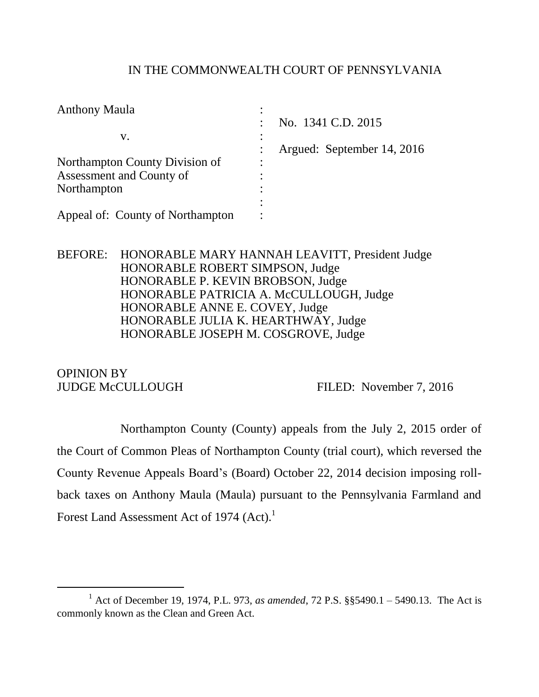## IN THE COMMONWEALTH COURT OF PENNSYLVANIA

| No. 1341 C.D. 2015<br>$\bullet$ |
|---------------------------------|
|                                 |
| Argued: September 14, 2016      |
| $\bullet$                       |
|                                 |
| ٠                               |
|                                 |
|                                 |
|                                 |

BEFORE: HONORABLE MARY HANNAH LEAVITT, President Judge HONORABLE ROBERT SIMPSON, Judge HONORABLE P. KEVIN BROBSON, Judge HONORABLE PATRICIA A. McCULLOUGH, Judge HONORABLE ANNE E. COVEY, Judge HONORABLE JULIA K. HEARTHWAY, Judge HONORABLE JOSEPH M. COSGROVE, Judge

OPINION BY

l

JUDGE McCULLOUGH FILED: November 7, 2016

Northampton County (County) appeals from the July 2, 2015 order of the Court of Common Pleas of Northampton County (trial court), which reversed the County Revenue Appeals Board's (Board) October 22, 2014 decision imposing rollback taxes on Anthony Maula (Maula) pursuant to the Pennsylvania Farmland and Forest Land Assessment Act of 1974 (Act).<sup>1</sup>

<sup>1</sup> Act of December 19, 1974, P.L. 973, *as amended*, 72 P.S. §§5490.1 – 5490.13. The Act is commonly known as the Clean and Green Act.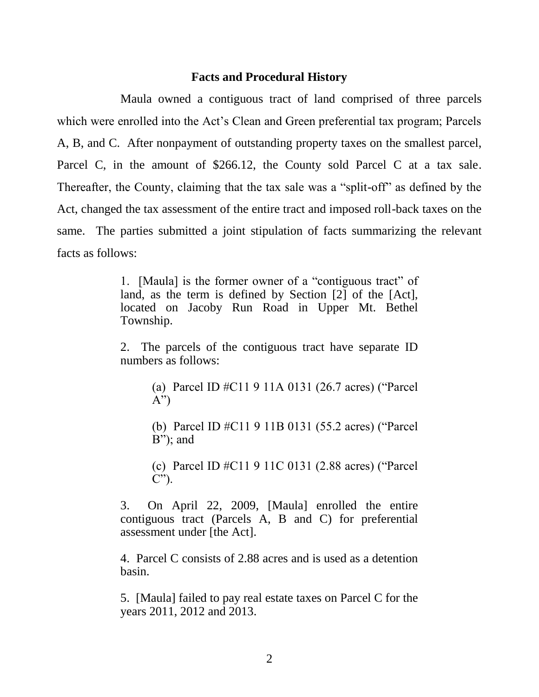### **Facts and Procedural History**

Maula owned a contiguous tract of land comprised of three parcels which were enrolled into the Act's Clean and Green preferential tax program; Parcels A, B, and C. After nonpayment of outstanding property taxes on the smallest parcel, Parcel C, in the amount of \$266.12, the County sold Parcel C at a tax sale. Thereafter, the County, claiming that the tax sale was a "split-off" as defined by the Act, changed the tax assessment of the entire tract and imposed roll-back taxes on the same. The parties submitted a joint stipulation of facts summarizing the relevant facts as follows:

> 1. [Maula] is the former owner of a "contiguous tract" of land, as the term is defined by Section [2] of the [Act], located on Jacoby Run Road in Upper Mt. Bethel Township.

> 2. The parcels of the contiguous tract have separate ID numbers as follows:

> > (a) Parcel ID #C11 9 11A 0131 (26.7 acres) ("Parcel  $(A^{\prime\prime})$

> > (b) Parcel ID #C11 9 11B 0131 (55.2 acres) ("Parcel B"); and

> > (c) Parcel ID #C11 9 11C 0131 (2.88 acres) ("Parcel  $C$ ").

3. On April 22, 2009, [Maula] enrolled the entire contiguous tract (Parcels A, B and C) for preferential assessment under [the Act].

4. Parcel C consists of 2.88 acres and is used as a detention basin.

5. [Maula] failed to pay real estate taxes on Parcel C for the years 2011, 2012 and 2013.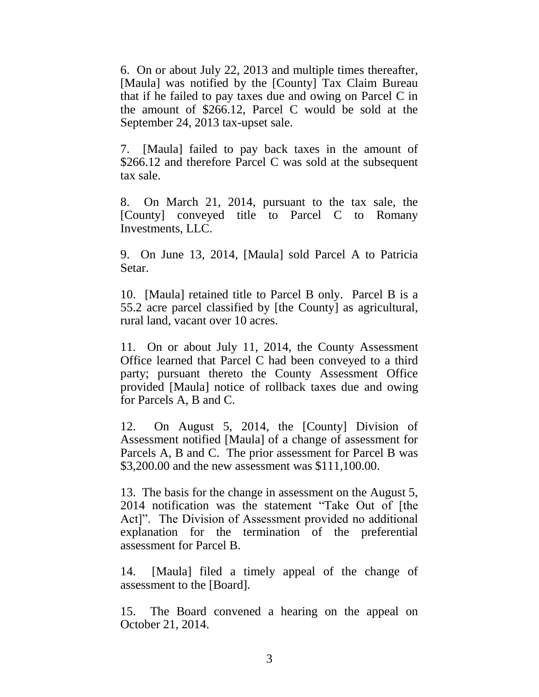6. On or about July 22, 2013 and multiple times thereafter, [Maula] was notified by the [County] Tax Claim Bureau that if he failed to pay taxes due and owing on Parcel C in the amount of \$266.12, Parcel C would be sold at the September 24, 2013 tax-upset sale.

7. [Maula] failed to pay back taxes in the amount of \$266.12 and therefore Parcel C was sold at the subsequent tax sale.

8. On March 21, 2014, pursuant to the tax sale, the [County] conveyed title to Parcel C to Romany Investments, LLC.

9. On June 13, 2014, [Maula] sold Parcel A to Patricia Setar.

10. [Maula] retained title to Parcel B only. Parcel B is a 55.2 acre parcel classified by [the County] as agricultural, rural land, vacant over 10 acres.

11. On or about July 11, 2014, the County Assessment Office learned that Parcel C had been conveyed to a third party; pursuant thereto the County Assessment Office provided [Maula] notice of rollback taxes due and owing for Parcels A, B and C.

12. On August 5, 2014, the [County] Division of Assessment notified [Maula] of a change of assessment for Parcels A, B and C. The prior assessment for Parcel B was \$3,200.00 and the new assessment was \$111,100.00.

13. The basis for the change in assessment on the August 5, 2014 notification was the statement "Take Out of [the Act]". The Division of Assessment provided no additional explanation for the termination of the preferential assessment for Parcel B.

14. [Maula] filed a timely appeal of the change of assessment to the [Board].

15. The Board convened a hearing on the appeal on October 21, 2014.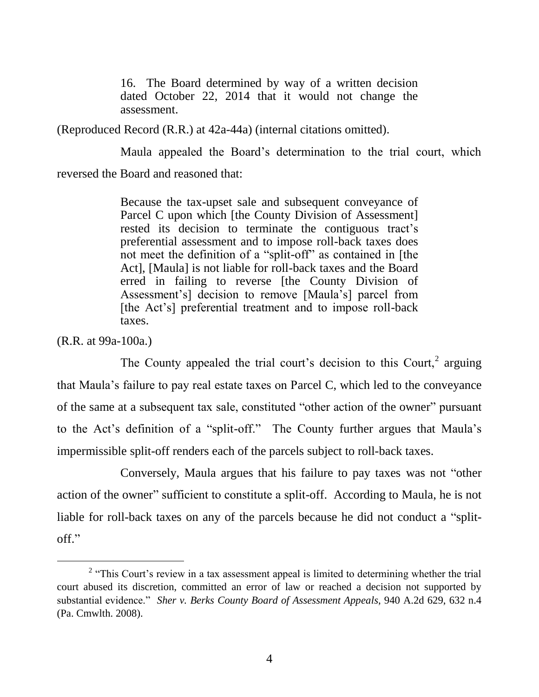16. The Board determined by way of a written decision dated October 22, 2014 that it would not change the assessment.

(Reproduced Record (R.R.) at 42a-44a) (internal citations omitted).

Maula appealed the Board's determination to the trial court, which reversed the Board and reasoned that:

> Because the tax-upset sale and subsequent conveyance of Parcel C upon which [the County Division of Assessment] rested its decision to terminate the contiguous tract's preferential assessment and to impose roll-back taxes does not meet the definition of a "split-off" as contained in [the Act], [Maula] is not liable for roll-back taxes and the Board erred in failing to reverse [the County Division of Assessment's] decision to remove [Maula's] parcel from [the Act's] preferential treatment and to impose roll-back taxes.

(R.R. at 99a-100a.)

l

The County appealed the trial court's decision to this Court, $2$  arguing that Maula's failure to pay real estate taxes on Parcel C, which led to the conveyance of the same at a subsequent tax sale, constituted "other action of the owner" pursuant to the Act's definition of a "split-off." The County further argues that Maula's impermissible split-off renders each of the parcels subject to roll-back taxes.

Conversely, Maula argues that his failure to pay taxes was not "other action of the owner" sufficient to constitute a split-off. According to Maula, he is not liable for roll-back taxes on any of the parcels because he did not conduct a "splitoff."

 $2$  "This Court's review in a tax assessment appeal is limited to determining whether the trial court abused its discretion, committed an error of law or reached a decision not supported by substantial evidence." *Sher v. Berks County Board of Assessment Appeals*, 940 A.2d 629, 632 n.4 (Pa. Cmwlth. 2008).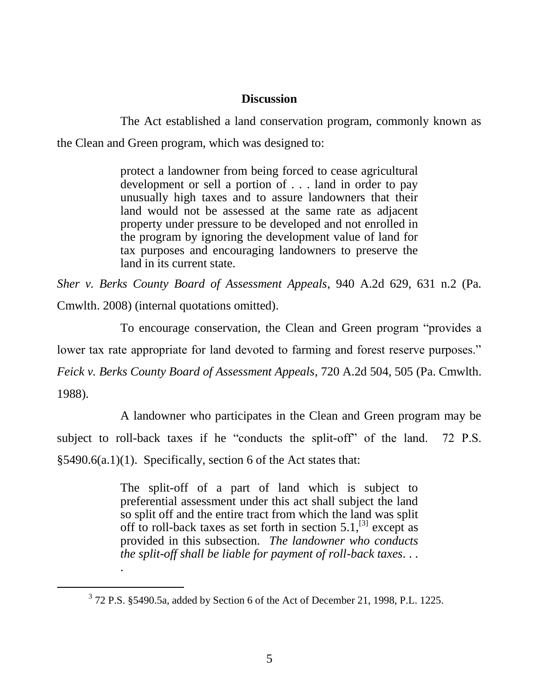### **Discussion**

The Act established a land conservation program, commonly known as the Clean and Green program, which was designed to:

> protect a landowner from being forced to cease agricultural development or sell a portion of . . . land in order to pay unusually high taxes and to assure landowners that their land would not be assessed at the same rate as adjacent property under pressure to be developed and not enrolled in the program by ignoring the development value of land for tax purposes and encouraging landowners to preserve the land in its current state.

*Sher v. Berks County Board of Assessment Appeals*, 940 A.2d 629, 631 n.2 (Pa. Cmwlth. 2008) (internal quotations omitted).

To encourage conservation, the Clean and Green program "provides a lower tax rate appropriate for land devoted to farming and forest reserve purposes." *Feick v. Berks County Board of Assessment Appeals*, 720 A.2d 504, 505 (Pa. Cmwlth.

1988).

l

.

A landowner who participates in the Clean and Green program may be subject to roll-back taxes if he "conducts the split-off" of the land. 72 P.S. §5490.6(a.1)(1). Specifically, section 6 of the Act states that:

> The split-off of a part of land which is subject to preferential assessment under this act shall subject the land so split off and the entire tract from which the land was split off to roll-back taxes as set forth in section  $5.1$ ,<sup>[3]</sup>, except as provided in this subsection*. The landowner who conducts the split-off shall be liable for payment of roll-back taxes*. . .

 $3$  72 P.S. §5490.5a, added by Section 6 of the Act of December 21, 1998, P.L. 1225.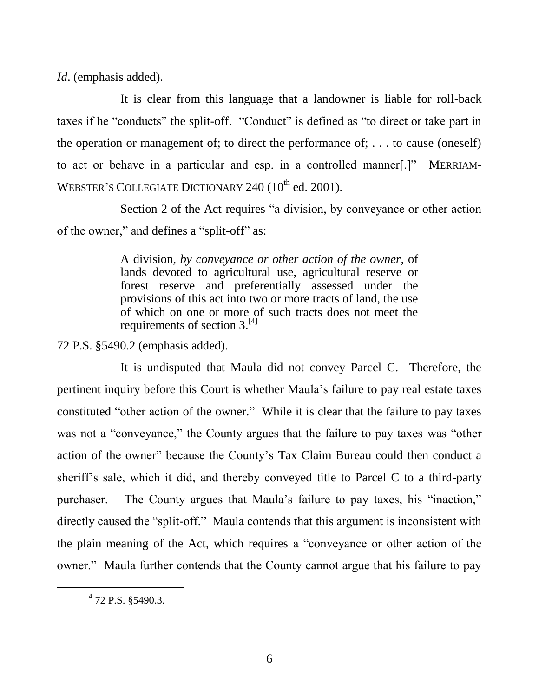*Id*. (emphasis added).

It is clear from this language that a landowner is liable for roll-back taxes if he "conducts" the split-off. "Conduct" is defined as "to direct or take part in the operation or management of; to direct the performance of; . . . to cause (oneself) to act or behave in a particular and esp. in a controlled manner[.]" MERRIAM-WEBSTER'S COLLEGIATE DICTIONARY 240 (10<sup>th</sup> ed. 2001).

Section 2 of the Act requires "a division, by conveyance or other action of the owner," and defines a "split-off" as:

> A division, *by conveyance or other action of the owner*, of lands devoted to agricultural use, agricultural reserve or forest reserve and preferentially assessed under the provisions of this act into two or more tracts of land, the use of which on one or more of such tracts does not meet the requirements of section  $3.^{[4]}$

72 P.S. §5490.2 (emphasis added).

It is undisputed that Maula did not convey Parcel C. Therefore, the pertinent inquiry before this Court is whether Maula's failure to pay real estate taxes constituted "other action of the owner." While it is clear that the failure to pay taxes was not a "conveyance," the County argues that the failure to pay taxes was "other action of the owner" because the County's Tax Claim Bureau could then conduct a sheriff's sale, which it did, and thereby conveyed title to Parcel C to a third-party purchaser. The County argues that Maula's failure to pay taxes, his "inaction," directly caused the "split-off." Maula contends that this argument is inconsistent with the plain meaning of the Act, which requires a "conveyance or other action of the owner." Maula further contends that the County cannot argue that his failure to pay

<sup>4</sup> 72 P.S. §5490.3.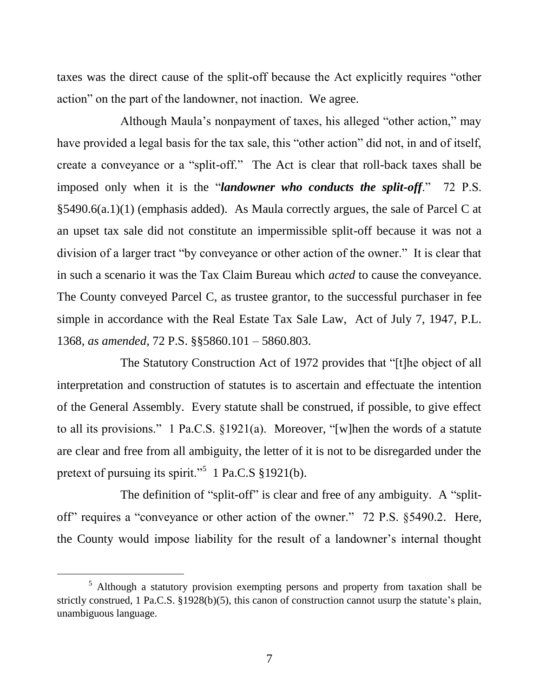taxes was the direct cause of the split-off because the Act explicitly requires "other action" on the part of the landowner, not inaction. We agree.

Although Maula's nonpayment of taxes, his alleged "other action," may have provided a legal basis for the tax sale, this "other action" did not, in and of itself, create a conveyance or a "split-off." The Act is clear that roll-back taxes shall be imposed only when it is the "*landowner who conducts the split-off*." 72 P.S. §5490.6(a.1)(1) (emphasis added). As Maula correctly argues, the sale of Parcel C at an upset tax sale did not constitute an impermissible split-off because it was not a division of a larger tract "by conveyance or other action of the owner." It is clear that in such a scenario it was the Tax Claim Bureau which *acted* to cause the conveyance. The County conveyed Parcel C, as trustee grantor, to the successful purchaser in fee simple in accordance with the Real Estate Tax Sale Law, Act of July 7, 1947, P.L. 1368, *as amended*, 72 P.S. §§5860.101 – 5860.803.

The Statutory Construction Act of 1972 provides that "[t]he object of all interpretation and construction of statutes is to ascertain and effectuate the intention of the General Assembly. Every statute shall be construed, if possible, to give effect to all its provisions." 1 Pa.C.S. §1921(a). Moreover, "[w]hen the words of a statute are clear and free from all ambiguity, the letter of it is not to be disregarded under the pretext of pursuing its spirit."<sup>5</sup> 1 Pa.C.S §1921(b).

The definition of "split-off" is clear and free of any ambiguity. A "splitoff" requires a "conveyance or other action of the owner." 72 P.S. §5490.2. Here, the County would impose liability for the result of a landowner's internal thought

<sup>5</sup> Although a statutory provision exempting persons and property from taxation shall be strictly construed, 1 Pa.C.S. §1928(b)(5), this canon of construction cannot usurp the statute's plain, unambiguous language.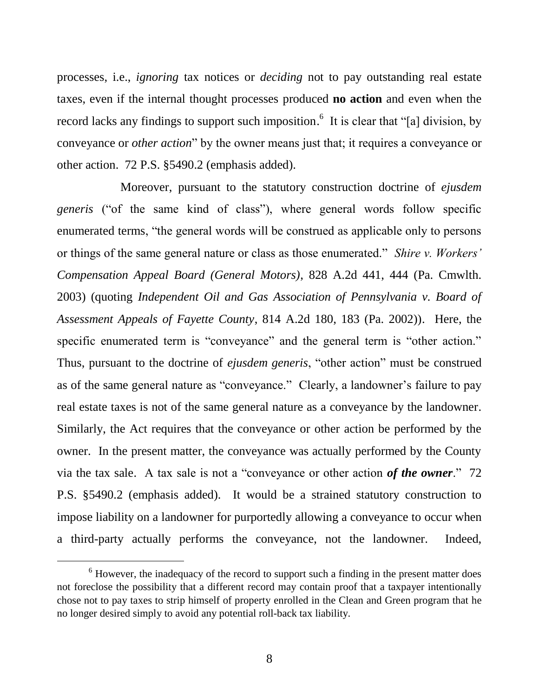processes, i.e., *ignoring* tax notices or *deciding* not to pay outstanding real estate taxes, even if the internal thought processes produced **no action** and even when the record lacks any findings to support such imposition.<sup>6</sup> It is clear that "[a] division, by conveyance or *other action*" by the owner means just that; it requires a conveyance or other action. 72 P.S. §5490.2 (emphasis added).

Moreover, pursuant to the statutory construction doctrine of *ejusdem generis* ("of the same kind of class"), where general words follow specific enumerated terms, "the general words will be construed as applicable only to persons or things of the same general nature or class as those enumerated." *Shire v. Workers' Compensation Appeal Board (General Motors)*, 828 A.2d 441, 444 (Pa. Cmwlth. 2003) (quoting *Independent Oil and Gas Association of Pennsylvania v. Board of Assessment Appeals of Fayette County*, 814 A.2d 180, 183 (Pa. 2002)). Here, the specific enumerated term is "conveyance" and the general term is "other action." Thus, pursuant to the doctrine of *ejusdem generis*, "other action" must be construed as of the same general nature as "conveyance." Clearly, a landowner's failure to pay real estate taxes is not of the same general nature as a conveyance by the landowner. Similarly, the Act requires that the conveyance or other action be performed by the owner. In the present matter, the conveyance was actually performed by the County via the tax sale. A tax sale is not a "conveyance or other action *of the owner*." 72 P.S. §5490.2 (emphasis added). It would be a strained statutory construction to impose liability on a landowner for purportedly allowing a conveyance to occur when a third-party actually performs the conveyance, not the landowner. Indeed,

<sup>&</sup>lt;sup>6</sup> However, the inadequacy of the record to support such a finding in the present matter does not foreclose the possibility that a different record may contain proof that a taxpayer intentionally chose not to pay taxes to strip himself of property enrolled in the Clean and Green program that he no longer desired simply to avoid any potential roll-back tax liability.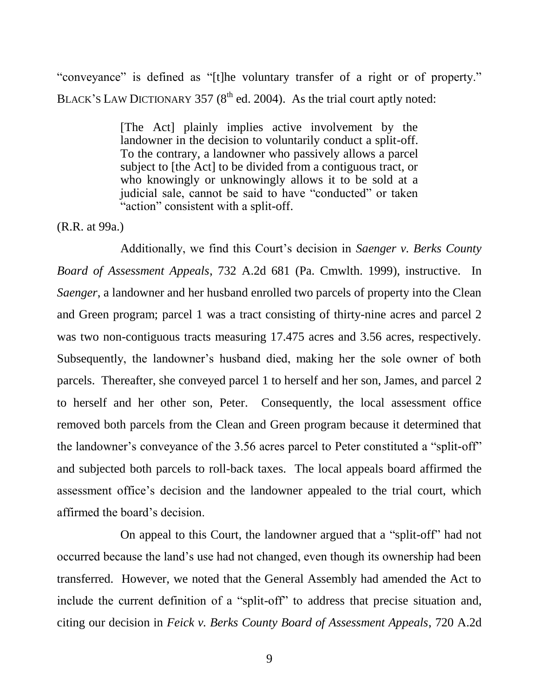"conveyance" is defined as "[t]he voluntary transfer of a right or of property." BLACK'S LAW DICTIONARY 357  $(8<sup>th</sup>$  ed. 2004). As the trial court aptly noted:

> [The Act] plainly implies active involvement by the landowner in the decision to voluntarily conduct a split-off. To the contrary, a landowner who passively allows a parcel subject to [the Act] to be divided from a contiguous tract, or who knowingly or unknowingly allows it to be sold at a judicial sale, cannot be said to have "conducted" or taken "action" consistent with a split-off.

#### (R.R. at 99a.)

Additionally, we find this Court's decision in *Saenger v. Berks County Board of Assessment Appeals*, 732 A.2d 681 (Pa. Cmwlth. 1999), instructive. In *Saenger*, a landowner and her husband enrolled two parcels of property into the Clean and Green program; parcel 1 was a tract consisting of thirty-nine acres and parcel 2 was two non-contiguous tracts measuring 17.475 acres and 3.56 acres, respectively. Subsequently, the landowner's husband died, making her the sole owner of both parcels. Thereafter, she conveyed parcel 1 to herself and her son, James, and parcel 2 to herself and her other son, Peter. Consequently, the local assessment office removed both parcels from the Clean and Green program because it determined that the landowner's conveyance of the 3.56 acres parcel to Peter constituted a "split-off" and subjected both parcels to roll-back taxes. The local appeals board affirmed the assessment office's decision and the landowner appealed to the trial court, which affirmed the board's decision.

On appeal to this Court, the landowner argued that a "split-off" had not occurred because the land's use had not changed, even though its ownership had been transferred. However, we noted that the General Assembly had amended the Act to include the current definition of a "split-off" to address that precise situation and, citing our decision in *Feick v. Berks County Board of Assessment Appeals*, 720 A.2d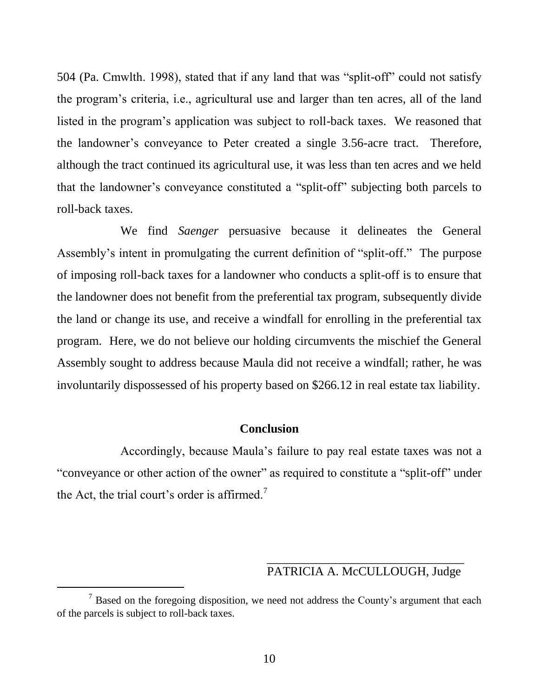504 (Pa. Cmwlth. 1998), stated that if any land that was "split-off" could not satisfy the program's criteria, i.e., agricultural use and larger than ten acres, all of the land listed in the program's application was subject to roll-back taxes. We reasoned that the landowner's conveyance to Peter created a single 3.56-acre tract. Therefore, although the tract continued its agricultural use, it was less than ten acres and we held that the landowner's conveyance constituted a "split-off" subjecting both parcels to roll-back taxes.

We find *Saenger* persuasive because it delineates the General Assembly's intent in promulgating the current definition of "split-off." The purpose of imposing roll-back taxes for a landowner who conducts a split-off is to ensure that the landowner does not benefit from the preferential tax program, subsequently divide the land or change its use, and receive a windfall for enrolling in the preferential tax program. Here, we do not believe our holding circumvents the mischief the General Assembly sought to address because Maula did not receive a windfall; rather, he was involuntarily dispossessed of his property based on \$266.12 in real estate tax liability.

#### **Conclusion**

Accordingly, because Maula's failure to pay real estate taxes was not a "conveyance or other action of the owner" as required to constitute a "split-off" under the Act, the trial court's order is affirmed.<sup>7</sup>

## \_\_\_\_\_\_\_\_\_\_\_\_\_\_\_\_\_\_\_\_\_\_\_\_\_\_\_\_\_\_\_\_ PATRICIA A. McCULLOUGH, Judge

 $<sup>7</sup>$  Based on the foregoing disposition, we need not address the County's argument that each</sup> of the parcels is subject to roll-back taxes.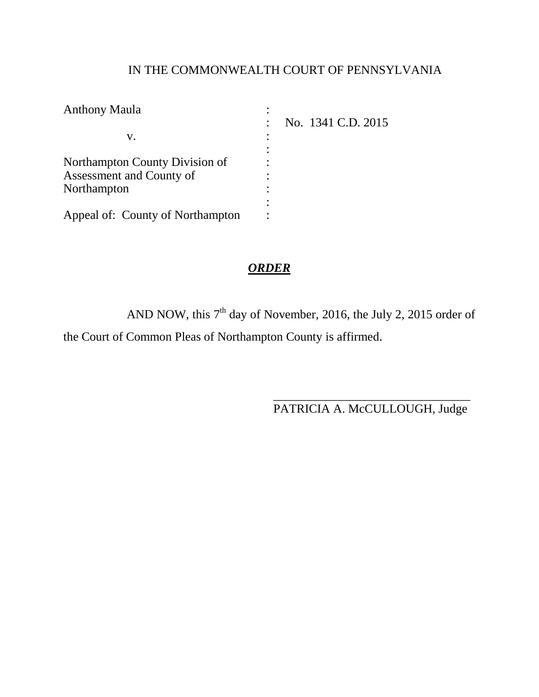# IN THE COMMONWEALTH COURT OF PENNSYLVANIA

| <b>Anthony Maula</b>             |                    |
|----------------------------------|--------------------|
|                                  | No. 1341 C.D. 2015 |
| v.                               |                    |
|                                  |                    |
| Northampton County Division of   |                    |
| Assessment and County of         |                    |
| Northampton                      |                    |
|                                  |                    |
| Appeal of: County of Northampton |                    |

# *ORDER*

AND NOW, this  $7<sup>th</sup>$  day of November, 2016, the July 2, 2015 order of the Court of Common Pleas of Northampton County is affirmed.

> \_\_\_\_\_\_\_\_\_\_\_\_\_\_\_\_\_\_\_\_\_\_\_\_\_\_\_\_\_\_\_\_ PATRICIA A. McCULLOUGH, Judge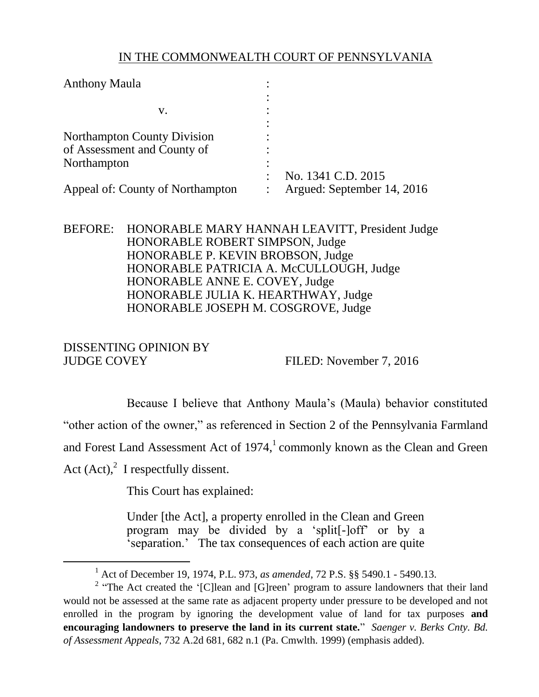## IN THE COMMONWEALTH COURT OF PENNSYLVANIA

| <b>Anthony Maula</b>               |                            |
|------------------------------------|----------------------------|
|                                    |                            |
| v.                                 |                            |
|                                    |                            |
| <b>Northampton County Division</b> |                            |
| of Assessment and County of        |                            |
| Northampton                        |                            |
|                                    | No. 1341 C.D. 2015         |
| Appeal of: County of Northampton   | Argued: September 14, 2016 |

## BEFORE: HONORABLE MARY HANNAH LEAVITT, President Judge HONORABLE ROBERT SIMPSON, Judge HONORABLE P. KEVIN BROBSON, Judge HONORABLE PATRICIA A. McCULLOUGH, Judge HONORABLE ANNE E. COVEY, Judge HONORABLE JULIA K. HEARTHWAY, Judge HONORABLE JOSEPH M. COSGROVE, Judge

### DISSENTING OPINION BY JUDGE COVEY FILED: November 7, 2016

 $\overline{a}$ 

Because I believe that Anthony Maula's (Maula) behavior constituted "other action of the owner," as referenced in Section 2 of the Pennsylvania Farmland and Forest Land Assessment Act of  $1974$ , commonly known as the Clean and Green Act  $(Act)$ ,<sup>2</sup> I respectfully dissent.

This Court has explained:

Under [the Act], a property enrolled in the Clean and Green program may be divided by a 'split[-]off' or by a 'separation.' The tax consequences of each action are quite

<sup>1</sup> Act of December 19, 1974, P.L. 973, *as amended*, 72 P.S. §§ 5490.1 - 5490.13.

<sup>&</sup>lt;sup>2</sup> "The Act created the '[C]lean and [G]reen' program to assure landowners that their land would not be assessed at the same rate as adjacent property under pressure to be developed and not enrolled in the program by ignoring the development value of land for tax purposes **and encouraging landowners to preserve the land in its current state.**" *Saenger v. Berks Cnty. Bd. of Assessment Appeals*, 732 A.2d 681, 682 n.1 (Pa. Cmwlth. 1999) (emphasis added).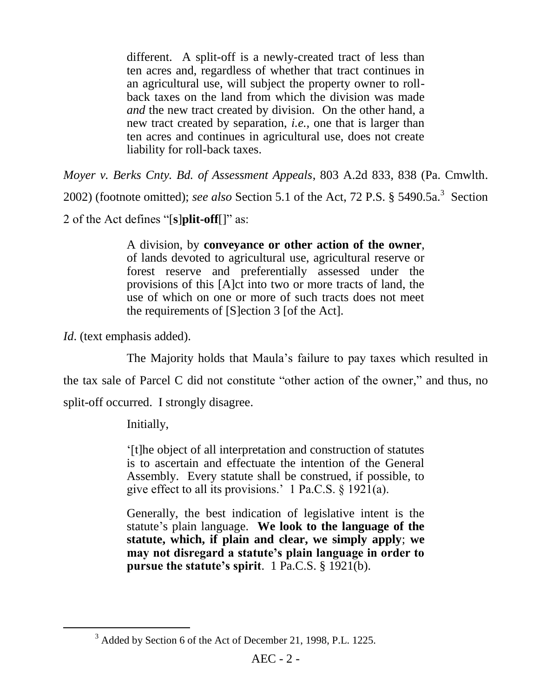different. A split-off is a newly-created tract of less than ten acres and, regardless of whether that tract continues in an agricultural use, will subject the property owner to rollback taxes on the land from which the division was made *and* the new tract created by division. On the other hand, a new tract created by separation, *i.e.,* one that is larger than ten acres and continues in agricultural use, does not create liability for roll-back taxes.

*Moyer v. Berks Cnty. Bd. of Assessment Appeals*, 803 A.2d 833, 838 (Pa. Cmwlth. 2002) (footnote omitted); *see also* Section 5.1 of the Act, 72 P.S.  $\S$  5490.5a.<sup>3</sup> Section 2 of the Act defines "[**s**]**plit-off**[]" as:

> A division, by **conveyance or other action of the owner**, of lands devoted to agricultural use, agricultural reserve or forest reserve and preferentially assessed under the provisions of this [A]ct into two or more tracts of land, the use of which on one or more of such tracts does not meet the requirements of [S]ection 3 [of the Act].

*Id.* (text emphasis added).

 $\overline{a}$ 

The Majority holds that Maula's failure to pay taxes which resulted in

the tax sale of Parcel C did not constitute "other action of the owner," and thus, no

split-off occurred. I strongly disagree.

Initially,

'[t]he object of all interpretation and construction of statutes is to ascertain and effectuate the intention of the General Assembly. Every statute shall be construed, if possible, to give effect to all its provisions.' 1 Pa.C.S. § 1921(a).

Generally, the best indication of legislative intent is the statute's plain language. **We look to the language of the statute, which, if plain and clear, we simply apply**; **we may not disregard a statute's plain language in order to pursue the statute's spirit**. 1 Pa.C.S. § 1921(b).

<sup>3</sup> Added by Section 6 of the Act of December 21, 1998, P.L. 1225.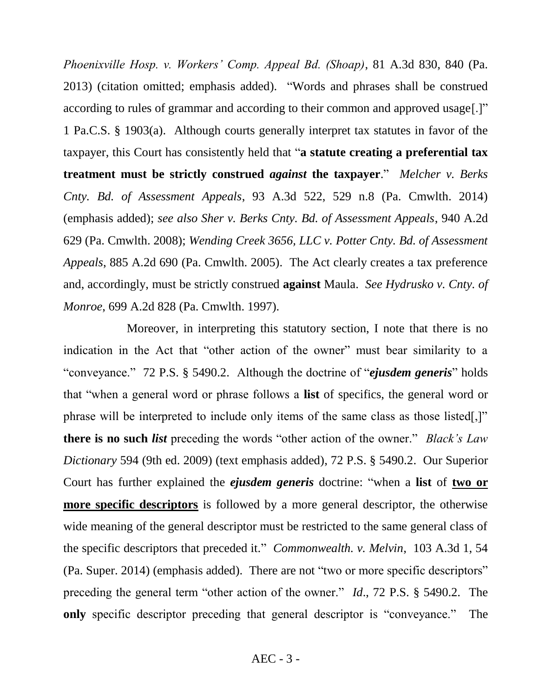*Phoenixville Hosp. v. Workers' Comp. Appeal Bd. (Shoap)*, 81 A.3d 830, 840 (Pa. 2013) (citation omitted; emphasis added). "Words and phrases shall be construed according to rules of grammar and according to their common and approved usage[.]" 1 Pa.C.S. § 1903(a). Although courts generally interpret tax statutes in favor of the taxpayer, this Court has consistently held that "**a statute creating a preferential tax treatment must be strictly construed** *against* **the taxpayer**." *Melcher v. Berks Cnty. Bd. of Assessment Appeals*, 93 A.3d 522, 529 n.8 (Pa. Cmwlth. 2014) (emphasis added); *see also Sher v. Berks Cnty. Bd. of Assessment Appeals*, 940 A.2d 629 (Pa. Cmwlth. 2008); *Wending Creek 3656, LLC v. Potter Cnty. Bd. of Assessment Appeals*, 885 A.2d 690 (Pa. Cmwlth. 2005). The Act clearly creates a tax preference and, accordingly, must be strictly construed **against** Maula. *See Hydrusko v. Cnty. of Monroe*, 699 A.2d 828 (Pa. Cmwlth. 1997).

Moreover, in interpreting this statutory section, I note that there is no indication in the Act that "other action of the owner" must bear similarity to a "conveyance." 72 P.S. § 5490.2. Although the doctrine of "*ejusdem generis*" holds that "when a general word or phrase follows a **list** of specifics, the general word or phrase will be interpreted to include only items of the same class as those listed[,]" **there is no such** *list* preceding the words "other action of the owner." *Black's Law Dictionary* 594 (9th ed. 2009) (text emphasis added), 72 P.S. § 5490.2. Our Superior Court has further explained the *ejusdem generis* doctrine: "when a **list** of **two or more specific descriptors** is followed by a more general descriptor, the otherwise wide meaning of the general descriptor must be restricted to the same general class of the specific descriptors that preceded it." *Commonwealth. v. Melvin*, 103 A.3d 1, 54 (Pa. Super. 2014) (emphasis added). There are not "two or more specific descriptors" preceding the general term "other action of the owner." *Id*., 72 P.S. § 5490.2. The **only** specific descriptor preceding that general descriptor is "conveyance." The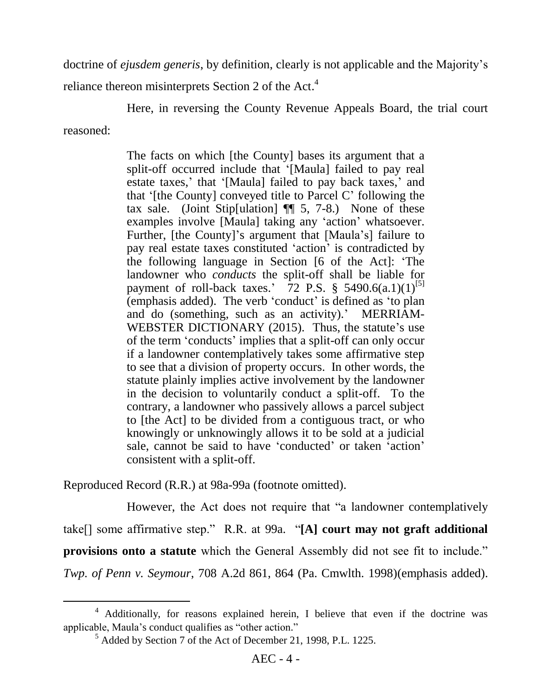doctrine of *ejusdem generis*, by definition, clearly is not applicable and the Majority's

reliance thereon misinterprets Section 2 of the Act.<sup>4</sup>

Here, in reversing the County Revenue Appeals Board, the trial court

reasoned:

 $\overline{a}$ 

The facts on which [the County] bases its argument that a split-off occurred include that '[Maula] failed to pay real estate taxes,' that '[Maula] failed to pay back taxes,' and that '[the County] conveyed title to Parcel C' following the tax sale. (Joint Stip[ulation] ¶¶ 5, 7-8.) None of these examples involve [Maula] taking any 'action' whatsoever. Further, [the County]'s argument that [Maula's] failure to pay real estate taxes constituted 'action' is contradicted by the following language in Section [6 of the Act]: 'The landowner who *conducts* the split-off shall be liable for payment of roll-back taxes.'  $72$  P.S. § 5490.6(a.1)(1)<sup>[5]</sup> (emphasis added). The verb 'conduct' is defined as 'to plan and do (something, such as an activity).' MERRIAM-WEBSTER DICTIONARY (2015). Thus, the statute's use of the term 'conducts' implies that a split-off can only occur if a landowner contemplatively takes some affirmative step to see that a division of property occurs. In other words, the statute plainly implies active involvement by the landowner in the decision to voluntarily conduct a split-off. To the contrary, a landowner who passively allows a parcel subject to [the Act] to be divided from a contiguous tract, or who knowingly or unknowingly allows it to be sold at a judicial sale, cannot be said to have 'conducted' or taken 'action' consistent with a split-off.

Reproduced Record (R.R.) at 98a-99a (footnote omitted).

However, the Act does not require that "a landowner contemplatively take[] some affirmative step." R.R. at 99a. "**[A] court may not graft additional provisions onto a statute** which the General Assembly did not see fit to include." *Twp. of Penn v. Seymour*, 708 A.2d 861, 864 (Pa. Cmwlth. 1998)(emphasis added).

<sup>4</sup> Additionally, for reasons explained herein, I believe that even if the doctrine was applicable, Maula's conduct qualifies as "other action."

<sup>5</sup> Added by Section 7 of the Act of December 21, 1998, P.L. 1225.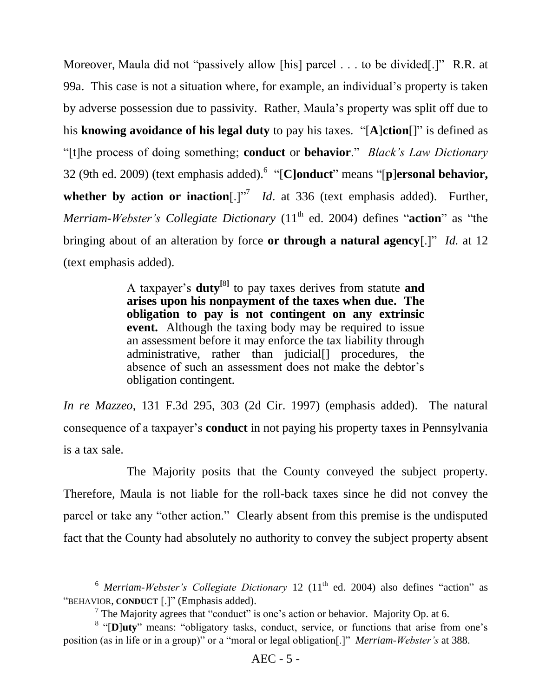Moreover, Maula did not "passively allow [his] parcel . . . to be divided[.]" R.R. at 99a. This case is not a situation where, for example, an individual's property is taken by adverse possession due to passivity. Rather, Maula's property was split off due to his **knowing avoidance of his legal duty** to pay his taxes. "[**A**]**ction**[]" is defined as "[t]he process of doing something; **conduct** or **behavior**." *Black's Law Dictionary* 32 (9th ed. 2009) (text emphasis added).<sup>6</sup> "[**C]onduct**" means "[**p**]**ersonal behavior,**  whether by action or inaction[.] $n^7$  *Id*. at 336 (text emphasis added). Further, *Merriam-Webster's Collegiate Dictionary* (11<sup>th</sup> ed. 2004) defines "**action**" as "the bringing about of an alteration by force **or through a natural agency**[.]" *Id.* at 12 (text emphasis added).

> A taxpayer's **duty[**8**]** to pay taxes derives from statute **and arises upon his nonpayment of the taxes when due. The obligation to pay is not contingent on any extrinsic event.** Although the taxing body may be required to issue an assessment before it may enforce the tax liability through administrative, rather than judicial procedures, the absence of such an assessment does not make the debtor's obligation contingent.

*In re Mazzeo*, 131 F.3d 295, 303 (2d Cir. 1997) (emphasis added). The natural consequence of a taxpayer's **conduct** in not paying his property taxes in Pennsylvania is a tax sale.

The Majority posits that the County conveyed the subject property. Therefore, Maula is not liable for the roll-back taxes since he did not convey the parcel or take any "other action." Clearly absent from this premise is the undisputed fact that the County had absolutely no authority to convey the subject property absent

 $\overline{a}$ 

<sup>&</sup>lt;sup>6</sup> *Merriam-Webster's Collegiate Dictionary* 12 (11<sup>th</sup> ed. 2004) also defines "action" as "BEHAVIOR, **CONDUCT** [.]" (Emphasis added).

<sup>&</sup>lt;sup>7</sup> The Majority agrees that "conduct" is one's action or behavior. Majority Op. at 6.

<sup>&</sup>lt;sup>8</sup> "[D]uty" means: "obligatory tasks, conduct, service, or functions that arise from one's position (as in life or in a group)" or a "moral or legal obligation[.]" *Merriam-Webster's* at 388.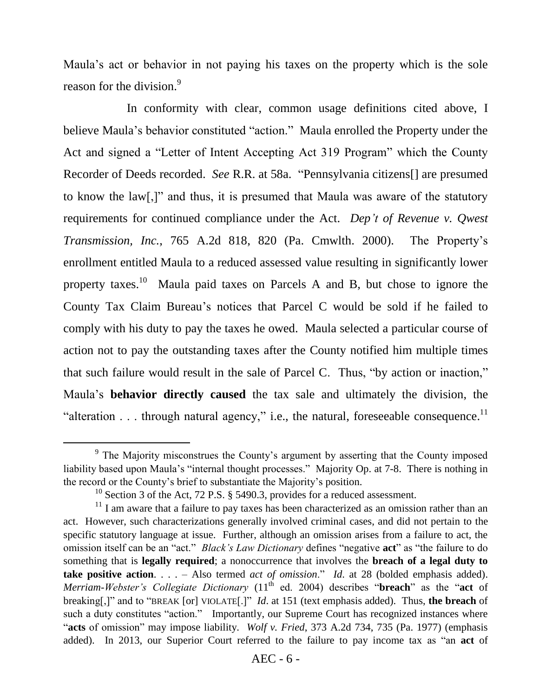Maula's act or behavior in not paying his taxes on the property which is the sole reason for the division.<sup>9</sup>

In conformity with clear, common usage definitions cited above, I believe Maula's behavior constituted "action." Maula enrolled the Property under the Act and signed a "Letter of Intent Accepting Act 319 Program" which the County Recorder of Deeds recorded. *See* R.R. at 58a. "Pennsylvania citizens[] are presumed to know the law[,]" and thus, it is presumed that Maula was aware of the statutory requirements for continued compliance under the Act. *Dep't of Revenue v. Qwest Transmission, Inc.*, 765 A.2d 818, 820 (Pa. Cmwlth. 2000). The Property's enrollment entitled Maula to a reduced assessed value resulting in significantly lower property taxes.<sup>10</sup> Maula paid taxes on Parcels A and B, but chose to ignore the County Tax Claim Bureau's notices that Parcel C would be sold if he failed to comply with his duty to pay the taxes he owed. Maula selected a particular course of action not to pay the outstanding taxes after the County notified him multiple times that such failure would result in the sale of Parcel C. Thus, "by action or inaction," Maula's **behavior directly caused** the tax sale and ultimately the division, the "alteration  $\dots$  through natural agency," i.e., the natural, foreseeable consequence.<sup>11</sup>

 $\overline{a}$ 

<sup>&</sup>lt;sup>9</sup> The Majority misconstrues the County's argument by asserting that the County imposed liability based upon Maula's "internal thought processes." Majority Op. at 7-8. There is nothing in the record or the County's brief to substantiate the Majority's position.

<sup>&</sup>lt;sup>10</sup> Section 3 of the Act, 72 P.S. § 5490.3, provides for a reduced assessment.

 $11$  I am aware that a failure to pay taxes has been characterized as an omission rather than an act. However, such characterizations generally involved criminal cases, and did not pertain to the specific statutory language at issue. Further, although an omission arises from a failure to act, the omission itself can be an "act." *Black's Law Dictionary* defines "negative **act**" as "the failure to do something that is **legally required**; a nonoccurrence that involves the **breach of a legal duty to take positive action**. . . . – Also termed *act of omission*." *Id*. at 28 (bolded emphasis added). *Merriam-Webster's Collegiate Dictionary* (11<sup>th</sup> ed. 2004) describes "**breach**" as the "act of breaking[,]" and to "BREAK [or] VIOLATE[.]" *Id*. at 151 (text emphasis added). Thus, **the breach** of such a duty constitutes "action." Importantly, our Supreme Court has recognized instances where "**acts** of omission" may impose liability. *Wolf v. Fried*, 373 A.2d 734, 735 (Pa. 1977) (emphasis added). In 2013, our Superior Court referred to the failure to pay income tax as "an **act** of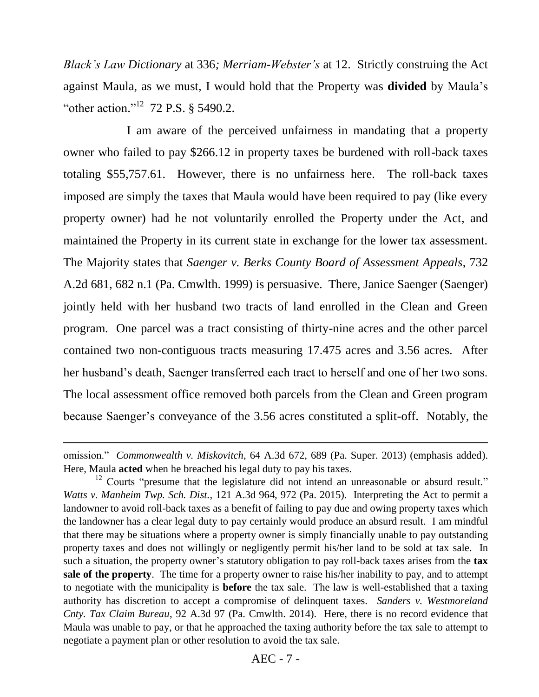*Black's Law Dictionary* at 336*; Merriam-Webster's* at 12. Strictly construing the Act against Maula, as we must, I would hold that the Property was **divided** by Maula's "other action."<sup>12</sup> 72 P.S. § 5490.2.

I am aware of the perceived unfairness in mandating that a property owner who failed to pay \$266.12 in property taxes be burdened with roll-back taxes totaling \$55,757.61. However, there is no unfairness here. The roll-back taxes imposed are simply the taxes that Maula would have been required to pay (like every property owner) had he not voluntarily enrolled the Property under the Act, and maintained the Property in its current state in exchange for the lower tax assessment. The Majority states that *Saenger v. Berks County Board of Assessment Appeals*, 732 A.2d 681, 682 n.1 (Pa. Cmwlth. 1999) is persuasive. There, Janice Saenger (Saenger) jointly held with her husband two tracts of land enrolled in the Clean and Green program. One parcel was a tract consisting of thirty-nine acres and the other parcel contained two non-contiguous tracts measuring 17.475 acres and 3.56 acres. After her husband's death, Saenger transferred each tract to herself and one of her two sons. The local assessment office removed both parcels from the Clean and Green program because Saenger's conveyance of the 3.56 acres constituted a split-off. Notably, the

 $\overline{a}$ 

omission." *Commonwealth v. Miskovitch*, 64 A.3d 672, 689 (Pa. Super. 2013) (emphasis added). Here, Maula **acted** when he breached his legal duty to pay his taxes.

 $12$  Courts "presume that the legislature did not intend an unreasonable or absurd result." *Watts v. Manheim Twp. Sch. Dist.*, 121 A.3d 964, 972 (Pa. 2015). Interpreting the Act to permit a landowner to avoid roll-back taxes as a benefit of failing to pay due and owing property taxes which the landowner has a clear legal duty to pay certainly would produce an absurd result. I am mindful that there may be situations where a property owner is simply financially unable to pay outstanding property taxes and does not willingly or negligently permit his/her land to be sold at tax sale. In such a situation, the property owner's statutory obligation to pay roll-back taxes arises from the **tax sale of the property**. The time for a property owner to raise his/her inability to pay, and to attempt to negotiate with the municipality is **before** the tax sale. The law is well-established that a taxing authority has discretion to accept a compromise of delinquent taxes. *Sanders v. Westmoreland Cnty. Tax Claim Bureau*, 92 A.3d 97 (Pa. Cmwlth. 2014). Here, there is no record evidence that Maula was unable to pay, or that he approached the taxing authority before the tax sale to attempt to negotiate a payment plan or other resolution to avoid the tax sale.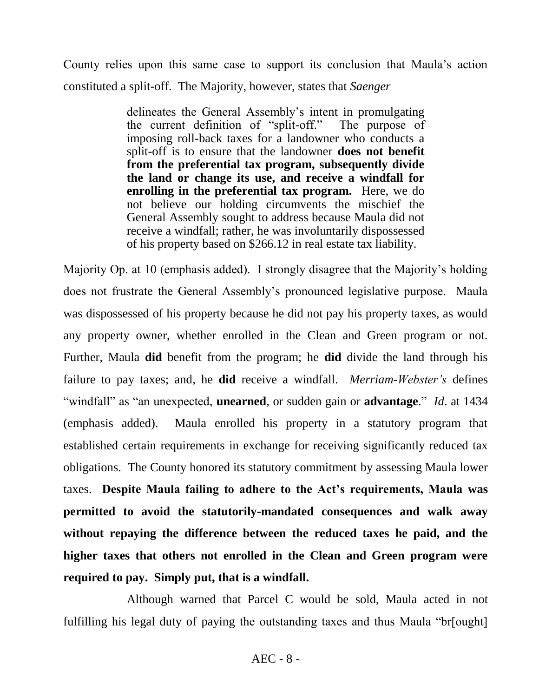County relies upon this same case to support its conclusion that Maula's action constituted a split-off. The Majority, however, states that *Saenger*

> delineates the General Assembly's intent in promulgating the current definition of "split-off." The purpose of imposing roll-back taxes for a landowner who conducts a split-off is to ensure that the landowner **does not benefit from the preferential tax program, subsequently divide the land or change its use, and receive a windfall for enrolling in the preferential tax program.** Here, we do not believe our holding circumvents the mischief the General Assembly sought to address because Maula did not receive a windfall; rather, he was involuntarily dispossessed of his property based on \$266.12 in real estate tax liability.

Majority Op. at 10 (emphasis added). I strongly disagree that the Majority's holding does not frustrate the General Assembly's pronounced legislative purpose. Maula was dispossessed of his property because he did not pay his property taxes, as would any property owner, whether enrolled in the Clean and Green program or not. Further, Maula **did** benefit from the program; he **did** divide the land through his failure to pay taxes; and, he **did** receive a windfall. *Merriam-Webster's* defines "windfall" as "an unexpected, **unearned**, or sudden gain or **advantage**." *Id*. at 1434 (emphasis added). Maula enrolled his property in a statutory program that established certain requirements in exchange for receiving significantly reduced tax obligations. The County honored its statutory commitment by assessing Maula lower taxes. **Despite Maula failing to adhere to the Act's requirements, Maula was permitted to avoid the statutorily-mandated consequences and walk away without repaying the difference between the reduced taxes he paid, and the higher taxes that others not enrolled in the Clean and Green program were required to pay. Simply put, that is a windfall.**

Although warned that Parcel C would be sold, Maula acted in not fulfilling his legal duty of paying the outstanding taxes and thus Maula "br[ought]